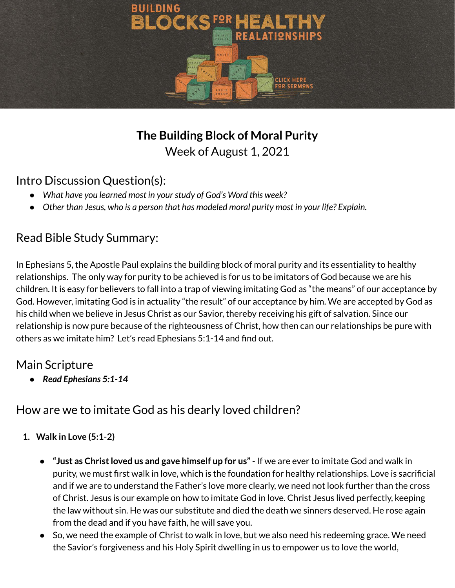

# **The Building Block of Moral Purity** Week of August 1, 2021

#### Intro Discussion Question(s):

- *● What have you learned most in yourstudy of God's Word this week?*
- *● Other than Jesus, who is a person that has modeled moral purity most in your life? Explain.*

#### Read Bible Study Summary:

In Ephesians 5, the Apostle Paul explains the building block of moral purity and its essentiality to healthy relationships. The only way for purity to be achieved is for us to be imitators of God because we are his children. It is easy for believers to fall into a trap of viewing imitating God as "the means" of our acceptance by God. However, imitating God is in actuality "the result" of our acceptance by him. We are accepted by God as his child when we believe in Jesus Christ as our Savior, thereby receiving his gift of salvation. Since our relationship is now pure because of the righteousness of Christ, how then can our relationships be pure with others as we imitate him? Let's read Ephesians 5:1-14 and find out.

## Main Scripture

*● Read Ephesians 5:1-14*

## How are we to imitate God as his dearly loved children?

- **1. Walk in Love (5:1-2)**
	- **● "Just as Christloved us and gave himself up for us"** If we are ever to imitate God and walk in purity, we must first walk in love, which is the foundation for healthy relationships. Love is sacrificial and if we are to understand the Father's love more clearly, we need not look further than the cross of Christ. Jesus is our example on how to imitate God in love. Christ Jesus lived perfectly, keeping the law without sin. He was our substitute and died the death we sinners deserved. He rose again from the dead and if you have faith, he will save you.
	- **●** So, we need the example of Christ to walk in love, but we also need his redeeming grace. We need the Savior's forgiveness and his Holy Spirit dwelling in us to empower us to love the world,